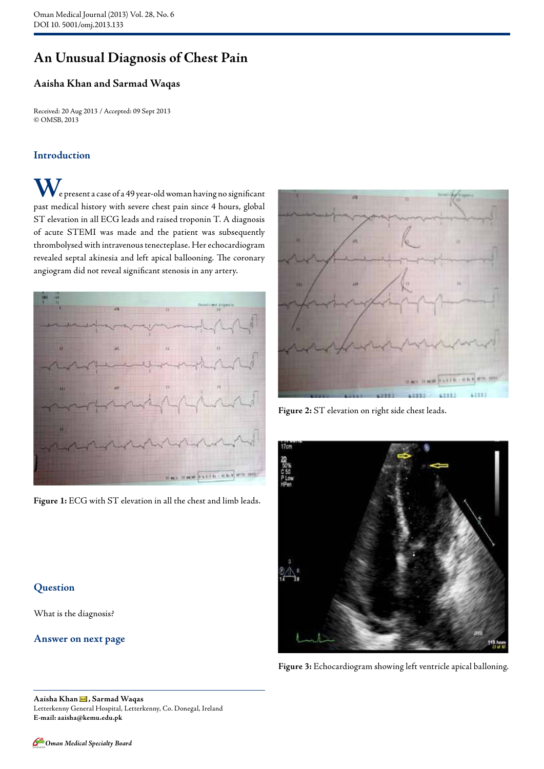# **An Unusual Diagnosis of Chest Pain**

## **Aaisha Khan and Sarmad Waqas**

Received: 20 Aug 2013 / Accepted: 09 Sept 2013 © OMSB, 2013

### **Introduction**

**W**e present a case of a 49 year-old woman having no significant past medical history with severe chest pain since 4 hours, global ST elevation in all ECG leads and raised troponin T. A diagnosis of acute STEMI was made and the patient was subsequently thrombolysed with intravenous tenecteplase. Her echocardiogram revealed septal akinesia and left apical ballooning. The coronary angiogram did not reveal significant stenosis in any artery.



**Figure 1:** ECG with ST elevation in all the chest and limb leads.



**Figure 2:** ST elevation on right side chest leads.



**Figure 3:** Echocardiogram showing left ventricle apical balloning.

## **Question**

What is the diagnosis?

#### **Answer on next page**

**Aaisha Khan , Sarmad Waqas**  Letterkenny General Hospital, Letterkenny, Co. Donegal, Ireland **E-mail: aaisha@kemu.edu.pk**